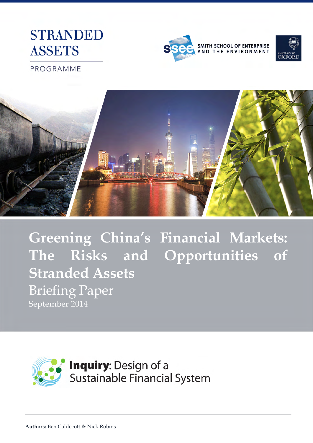# **STRANDED ASSETS**





PROGRAMME



**Greening China's Financial Markets: The Risks and Opportunities of Stranded Assets**  Briefing Paper September 2014

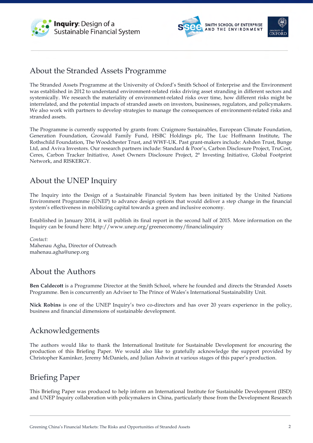





### About the Stranded Assets Programme

The Stranded Assets Programme at the University of Oxford's Smith School of Enterprise and the Environment was established in 2012 to understand environment-related risks driving asset stranding in different sectors and systemically. We research the materiality of environment-related risks over time, how different risks might be interrelated, and the potential impacts of stranded assets on investors, businesses, regulators, and policymakers. We also work with partners to develop strategies to manage the consequences of environment-related risks and stranded assets.

The Programme is currently supported by grants from: Craigmore Sustainables, European Climate Foundation, Generation Foundation, Growald Family Fund, HSBC Holdings plc, The Luc Hoffmann Institute, The Rothschild Foundation, The Woodchester Trust, and WWF-UK. Past grant-makers include: Ashden Trust, Bunge Ltd, and Aviva Investors. Our research partners include: Standard & Poor's, Carbon Disclosure Project, TruCost, Ceres, Carbon Tracker Initiative, Asset Owners Disclosure Project, 2° Investing Initiative, Global Footprint Network, and RISKERGY.

# About the UNEP Inquiry

The Inquiry into the Design of a Sustainable Financial System has been initiated by the United Nations Environment Programme (UNEP) to advance design options that would deliver a step change in the financial system's effectiveness in mobilizing capital towards a green and inclusive economy.

Established in January 2014, it will publish its final report in the second half of 2015. More information on the Inquiry can be found here: http://www.unep.org/greeneconomy/financialinquiry

*Contact:* Mahenau Agha, Director of Outreach mahenau.agha@unep.org

# About the Authors

**Ben Caldecott** is a Programme Director at the Smith School, where he founded and directs the Stranded Assets Programme. Ben is concurrently an Adviser to The Prince of Wales's International Sustainability Unit.

**Nick Robins** is one of the UNEP Inquiry's two co-directors and has over 20 years experience in the policy, business and financial dimensions of sustainable development.

# Acknowledgements

The authors would like to thank the International Institute for Sustainable Development for encouring the production of this Briefing Paper. We would also like to gratefully acknowledge the support provided by Christopher Kaminker, Jeremy McDaniels, and Julian Ashwin at various stages of this paper's production.

# Briefing Paper

This Briefing Paper was produced to help inform an International Institute for Sustainable Development (IISD) and UNEP Inquiry collaboration with policymakers in China, particularly those from the Development Research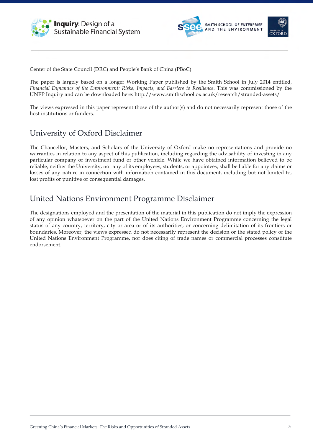





Center of the State Council (DRC) and People's Bank of China (PBoC).

The paper is largely based on a longer Working Paper published by the Smith School in July 2014 entitled, *Financial Dynamics of the Environment: Risks, Impacts, and Barriers to Resilience*. This was commissioned by the UNEP Inquiry and can be downloaded here: http://www.smithschool.ox.ac.uk/research/stranded-assets/

The views expressed in this paper represent those of the author(s) and do not necessarily represent those of the host institutions or funders.

### University of Oxford Disclaimer

The Chancellor, Masters, and Scholars of the University of Oxford make no representations and provide no warranties in relation to any aspect of this publication, including regarding the advisability of investing in any particular company or investment fund or other vehicle. While we have obtained information believed to be reliable, neither the University, nor any of its employees, students, or appointees, shall be liable for any claims or losses of any nature in connection with information contained in this document, including but not limited to, lost profits or punitive or consequential damages.

# United Nations Environment Programme Disclaimer

The designations employed and the presentation of the material in this publication do not imply the expression of any opinion whatsoever on the part of the United Nations Environment Programme concerning the legal status of any country, territory, city or area or of its authorities, or concerning delimitation of its frontiers or boundaries. Moreover, the views expressed do not necessarily represent the decision or the stated policy of the United Nations Environment Programme, nor does citing of trade names or commercial processes constitute endorsement.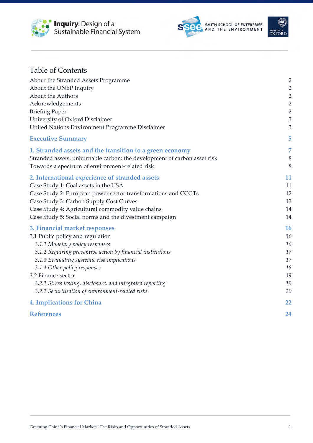





| <b>Table of Contents</b>                                                 |                                  |
|--------------------------------------------------------------------------|----------------------------------|
| About the Stranded Assets Programme<br>About the UNEP Inquiry            | $\overline{2}$<br>$\overline{2}$ |
| About the Authors                                                        | $\overline{2}$                   |
| Acknowledgements                                                         | $\overline{2}$                   |
| <b>Briefing Paper</b>                                                    | $\overline{2}$                   |
| University of Oxford Disclaimer                                          | 3                                |
| United Nations Environment Programme Disclaimer                          | 3                                |
| <b>Executive Summary</b>                                                 | 5                                |
| 1. Stranded assets and the transition to a green economy                 | 7                                |
| Stranded assets, unburnable carbon: the development of carbon asset risk | 8                                |
| Towards a spectrum of environment-related risk                           | 8                                |
| 2. International experience of stranded assets                           | 11                               |
| Case Study 1: Coal assets in the USA                                     | 11                               |
| Case Study 2: European power sector transformations and CCGTs            | 12                               |
| Case Study 3: Carbon Supply Cost Curves                                  | 13                               |
| Case Study 4: Agricultural commodity value chains                        | 14                               |
| Case Study 5: Social norms and the divestment campaign                   | 14                               |
| 3. Financial market responses                                            | 16                               |
| 3.1 Public policy and regulation                                         | 16                               |
| 3.1.1 Monetary policy responses                                          | 16                               |
| 3.1.2 Requiring preventive action by financial institutions              | 17                               |
| 3.1.3 Evaluating systemic risk implications                              | 17                               |
| 3.1.4 Other policy responses<br>3.2 Finance sector                       | 18<br>19                         |
| 3.2.1 Stress testing, disclosure, and integrated reporting               | 19                               |
| 3.2.2 Securitisation of environment-related risks                        | 20                               |
| <b>4. Implications for China</b>                                         | 22                               |
| <b>References</b>                                                        | 24                               |
|                                                                          |                                  |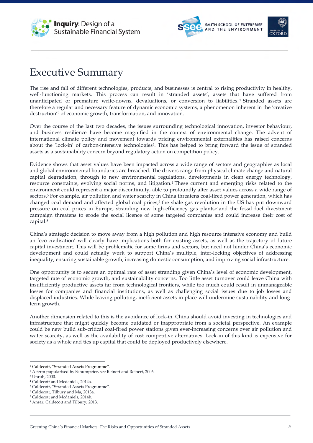





# Executive Summary

The rise and fall of different technologies, products, and businesses is central to rising productivity in healthy, well-functioning markets. This process can result in 'stranded assets', assets that have suffered from unanticipated or premature write-downs, devaluations, or conversion to liabilities.<sup>1</sup> Stranded assets are therefore a regular and necessary feature of dynamic economic systems, a phenomenon inherent in the 'creative destruction'2 of economic growth, transformation, and innovation.

Over the course of the last two decades, the issues surrounding technological innovation, investor behaviour, and business resilience have become magnified in the context of environmental change. The advent of international climate policy and movement towards pricing environmental externalities has raised concerns about the 'lock-in' of carbon-intensive technologies3. This has helped to bring forward the issue of stranded assets as a sustainability concern beyond regulatory action on competition policy.

Evidence shows that asset values have been impacted across a wide range of sectors and geographies as local and global environmental boundaries are breached. The drivers range from physical climate change and natural capital degradation, through to new environmental regulations, developments in clean energy technology, resource constraints, evolving social norms, and litigation.4 These current and emerging risks related to the environment could represent a major discontinuity, able to profoundly alter asset values across a wide range of sectors.5 For example, air pollution and water scarcity in China threatens coal-fired power generation, which has changed coal demand and affected global coal prices;<sup>6</sup> the shale gas revolution in the US has put downward pressure on coal prices in Europe, stranding new high-efficiency gas plants;7 and the fossil fuel divestment campaign threatens to erode the social licence of some targeted companies and could increase their cost of capital.8

China's strategic decision to move away from a high pollution and high resource intensive economy and build an 'eco-civilisation' will clearly have implications both for existing assets, as well as the trajectory of future capital investment. This will be problematic for some firms and sectors, but need not hinder China's economic development and could actually work to support China's multiple, inter-locking objectives of addressing inequality, ensuring sustainable growth, increasing domestic consumption, and improving social infrastructure.

One opportunity is to secure an optimal rate of asset stranding given China's level of economic development, targeted rate of economic growth, and sustainability concerns. Too little asset turnover could leave China with insufficiently productive assets far from technological frontiers, while too much could result in unmanageable losses for companies and financial institutions, as well as challenging social issues due to job losses and displaced industries. While leaving polluting, inefficient assets in place will undermine sustainability and longterm growth.

Another dimension related to this is the avoidance of lock-in. China should avoid investing in technologies and infrastructure that might quickly become outdated or inappropriate from a societal perspective. An example could be new build sub-critical coal-fired power stations given ever-increasing concerns over air pollution and water scarcity, as well as the availability of cost competitive alternatives. Lock-in of this kind is expensive for society as a whole and ties up capital that could be deployed productively elsewhere.

<sup>&</sup>lt;sup>1</sup> Caldecott, "Stranded Assets Programme".

<sup>2</sup> A term popularised by Schumpeter, see Reinert and Reinert, 2006.

<sup>3</sup> Unruh, 2000.

<sup>4</sup> Caldecott and Mcdaniels, 2014a.

<sup>5</sup> Caldecott, "Stranded Assets Programme".

<sup>6</sup> Caldecott, Tilbury and Ma, 2013a.

<sup>7</sup> Caldecott and Mcdaniels, 2014b.

<sup>8</sup> Ansar, Caldecott and Tilbury, 2013.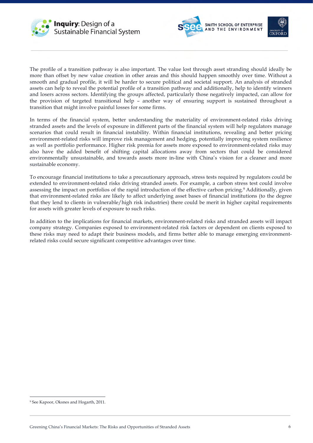





The profile of a transition pathway is also important. The value lost through asset stranding should ideally be more than offset by new value creation in other areas and this should happen smoothly over time. Without a smooth and gradual profile, it will be harder to secure political and societal support. An analysis of stranded assets can help to reveal the potential profile of a transition pathway and additionally, help to identify winners and losers across sectors. Identifying the groups affected, particularly those negatively impacted, can allow for the provision of targeted transitional help – another way of ensuring support is sustained throughout a transition that might involve painful losses for some firms.

In terms of the financial system, better understanding the materiality of environment-related risks driving stranded assets and the levels of exposure in different parts of the financial system will help regulators manage scenarios that could result in financial instability. Within financial institutions, revealing and better pricing environment-related risks will improve risk management and hedging, potentially improving system resilience as well as portfolio performance. Higher risk premia for assets more exposed to environment-related risks may also have the added benefit of shifting capital allocations away from sectors that could be considered environmentally unsustainable, and towards assets more in-line with China's vision for a cleaner and more sustainable economy.

To encourage financial institutions to take a precautionary approach, stress tests required by regulators could be extended to environment-related risks driving stranded assets. For example, a carbon stress test could involve assessing the impact on portfolios of the rapid introduction of the effective carbon pricing.9 Additionally, given that environment-related risks are likely to affect underlying asset bases of financial institutions (to the degree that they lend to clients in vulnerable/high risk industries) there could be merit in higher capital requirements for assets with greater levels of exposure to such risks.

In addition to the implications for financial markets, environment-related risks and stranded assets will impact company strategy. Companies exposed to environment-related risk factors or dependent on clients exposed to these risks may need to adapt their business models, and firms better able to manage emerging environmentrelated risks could secure significant competitive advantages over time.

 <sup>9</sup> See Kapoor, Oksnes and Hogarth, 2011.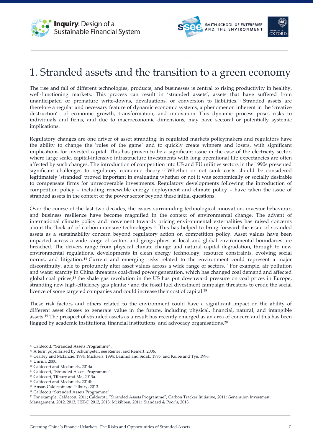





# 1. Stranded assets and the transition to a green economy

The rise and fall of different technologies, products, and businesses is central to rising productivity in healthy, well-functioning markets. This process can result in 'stranded assets', assets that have suffered from unanticipated or premature write-downs, devaluations, or conversion to liabilities. <sup>10</sup> Stranded assets are therefore a regular and necessary feature of dynamic economic systems, a phenomenon inherent in the 'creative destruction<sup>' 11</sup> of economic growth, transformation, and innovation. This dynamic process poses risks to individuals and firms, and due to macroeconomic dimensions, may have sectoral or potentially systemic implications.

Regulatory changes are one driver of asset stranding: in regulated markets policymakers and regulators have the ability to change the 'rules of the game' and to quickly create winners and losers, with significant implications for invested capital. This has proven to be a significant issue in the case of the electricity sector, where large scale, capital-intensive infrastructure investments with long operational life expectancies are often affected by such changes. The introduction of competition into US and EU utilities sectors in the 1990s presented significant challenges to regulatory economic theory.12 Whether or not sunk costs should be considered legitimately 'stranded' proved important in evaluating whether or not it was economically or socially desirable to compensate firms for unrecoverable investments. Regulatory developments following the introduction of competition policy – including renewable energy deployment and climate policy – have taken the issue of stranded assets in the context of the power sector beyond these initial questions.

Over the course of the last two decades, the issues surrounding technological innovation, investor behaviour, and business resilience have become magnified in the context of environmental change. The advent of international climate policy and movement towards pricing environmental externalities has raised concerns about the 'lock-in' of carbon-intensive technologies13. This has helped to bring forward the issue of stranded assets as a sustainability concern beyond regulatory action on competition policy. Asset values have been impacted across a wide range of sectors and geographies as local and global environmental boundaries are breached. The drivers range from physical climate change and natural capital degradation, through to new environmental regulations, developments in clean energy technology, resource constraints, evolving social norms, and litigation.14 Current and emerging risks related to the environment could represent a major discontinuity, able to profoundly alter asset values across a wide range of sectors.15 For example, air pollution and water scarcity in China threatens coal-fired power generation, which has changed coal demand and affected global coal prices;16 the shale gas revolution in the US has put downward pressure on coal prices in Europe, stranding new high-efficiency gas plants;17 and the fossil fuel divestment campaign threatens to erode the social licence of some targeted companies and could increase their cost of capital.18

These risk factors and others related to the environment could have a significant impact on the ability of different asset classes to generate value in the future, including physical, financial, natural, and intangible assets.19 The prospect of stranded assets as a result has recently emerged as an area of concern and this has been flagged by academic institutions, financial institutions, and advocacy organisations.20

 <sup>10</sup> Caldecott, "Stranded Assets Programme".

<sup>&</sup>lt;sup>11</sup> A term popularised by Schumpeter, see Reinert and Reinert, 2006.

<sup>12</sup> Cearley and Mckinzie, 1994; Michaels, 1994; Baumol and Sidak, 1995; and Kolbe and Tye, 1996.

<sup>13</sup> Unruh, 2000.

<sup>14</sup> Caldecott and Mcdaniels, 2014a.

<sup>15</sup> Caldecott, "Stranded Assets Programme".

<sup>16</sup> Caldecott, Tilbury and Ma, 2013a.

<sup>17</sup> Caldecott and Mcdaniels, 2014b.

<sup>18</sup> Ansar, Caldecott and Tilbury, 2013.

<sup>19</sup> Caldecott "Stranded Assets Programme".

<sup>20</sup> For example: Caldecott, 2011; Caldecott, "Stranded Assets Programme"; Carbon Tracker Initiative, 2011; Generation Investment Management, 2012, 2013; HSBC, 2012, 2013; Mckibben, 2011; Standard & Poor's, 2013.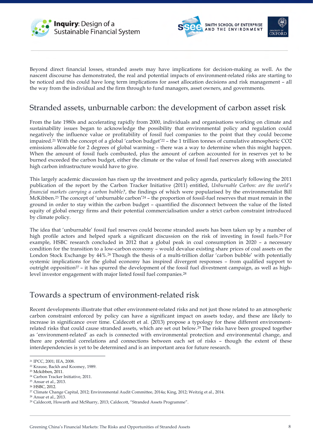





Beyond direct financial losses, stranded assets may have implications for decision-making as well. As the nascent discourse has demonstrated, the real and potential impacts of environment-related risks are starting to be noticed and this could have long term implications for asset allocation decisions and risk management – all the way from the individual and the firm through to fund managers, asset owners, and governments.

### Stranded assets, unburnable carbon: the development of carbon asset risk

From the late 1980s and accelerating rapidly from 2000, individuals and organisations working on climate and sustainability issues began to acknowledge the possibility that environmental policy and regulation could negatively the influence value or profitability of fossil fuel companies to the point that they could become impaired.21 With the concept of a global 'carbon budget'22 – the 1 trillion tonnes of cumulative atmospheric CO2 emissions allowable for 2 degrees of global warming – there was a way to determine when this might happen. When the amount of fossil fuels combusted, plus the amount of carbon accounted for in reserves yet to be burned exceeded the carbon budget, either the climate or the value of fossil fuel reserves along with associated high carbon infrastructure would have to give.

This largely academic discussion has risen up the investment and policy agenda, particularly following the 2011 publication of the report by the Carbon Tracker Initiative (2011) entitled, *Unburnable Carbon: are the world's financial markets carrying a carbon bubble?*, the findings of which were popularised by the environmentalist Bill McKibben.23 The concept of 'unburnable carbon'24 – the proportion of fossil-fuel reserves that must remain in the ground in order to stay within the carbon budget – quantified the disconnect between the value of the listed equity of global energy firms and their potential commercialisation under a strict carbon constraint introduced by climate policy.

The idea that 'unburnable' fossil fuel reserves could become stranded assets has been taken up by a number of high profile actors and helped spark a significant discussion on the risk of investing in fossil fuels.25 For example, HSBC research concluded in 2012 that a global peak in coal consumption in 2020 – a necessary condition for the transition to a low-carbon economy – would devalue existing share prices of coal assets on the London Stock Exchange by 44%.26 Though the thesis of a multi-trillion dollar 'carbon bubble' with potentially systemic implications for the global economy has inspired divergent responses – from qualified support to outright opposition27 – it has spurred the development of the fossil fuel divestment campaign, as well as highlevel investor engagement with major listed fossil fuel companies.28

### Towards a spectrum of environment-related risk

Recent developments illustrate that other environment-related risks and not just those related to an atmospheric carbon constraint enforced by policy can have a significant impact on assets today, and these are likely to increase in significance over time. Caldecott et al. (2013) propose a typology for these different environmentrelated risks that could cause stranded assets, which are set out below.29 The risks have been grouped together as 'environment-related' as each is connected with environmental protection and environmental change, and there are potential correlations and connections between each set of risks – though the extent of these interdependencies is yet to be determined and is an important area for future research.

 <sup>21</sup> IPCC, 2001; IEA, 2008.

<sup>22</sup> Krause, Backh and Koomey, 1989.

<sup>23</sup> Mckibben, 2011.

<sup>24</sup> Carbon Tracker Initiative, 2011.

<sup>25</sup> Ansar et al., 2013.

<sup>26</sup> HSBC, 2012.

<sup>27</sup> Climate Change Capital, 2012; Environmental Audit Committee, 2014a; King, 2012; Weitzig et al., 2014.

<sup>28</sup> Ansar et al., 2013.

<sup>29</sup> Caldecott, Howarth and McSharry, 2013; Caldecott, "Stranded Assets Programme".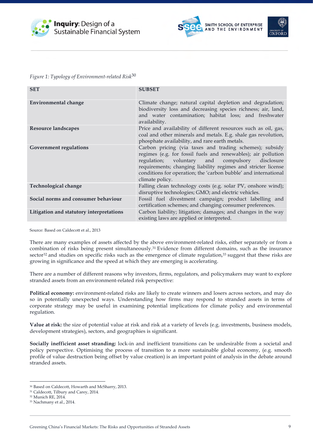





*Figure 1: Typology of Environment-related Risk*<sup>30</sup>

| <b>SET</b>                               | <b>SUBSET</b>                                                                                                                                                                                                                                                                                                                            |  |  |
|------------------------------------------|------------------------------------------------------------------------------------------------------------------------------------------------------------------------------------------------------------------------------------------------------------------------------------------------------------------------------------------|--|--|
| <b>Environmental change</b>              | Climate change; natural capital depletion and degradation;<br>biodiversity loss and decreasing species richness; air, land,<br>and water contamination; habitat loss; and freshwater<br>availability.                                                                                                                                    |  |  |
| Resource landscapes                      | Price and availability of different resources such as oil, gas,<br>coal and other minerals and metals. E.g. shale gas revolution,<br>phosphate availability, and rare earth metals.                                                                                                                                                      |  |  |
| <b>Government regulations</b>            | Carbon pricing (via taxes and trading schemes); subsidy<br>regimes (e.g. for fossil fuels and renewables); air pollution<br>regulation; voluntary and<br>compulsory<br>disclosure<br>requirements; changing liability regimes and stricter license<br>conditions for operation; the 'carbon bubble' and international<br>climate policy. |  |  |
| Technological change                     | Falling clean technology costs (e.g. solar PV, onshore wind);<br>disruptive technologies; GMO; and electric vehicles.                                                                                                                                                                                                                    |  |  |
| Social norms and consumer behaviour      | Fossil fuel divestment campaign; product labelling and<br>certification schemes; and changing consumer preferences.                                                                                                                                                                                                                      |  |  |
| Litigation and statutory interpretations | Carbon liability; litigation; damages; and changes in the way<br>existing laws are applied or interpreted.                                                                                                                                                                                                                               |  |  |

Source: Based on Caldecott et al., 2013

There are many examples of assets affected by the above environment-related risks, either separately or from a combination of risks being present simultaneously.31 Evidence from different domains, such as the insurance sector<sup>32</sup> and studies on specific risks such as the emergence of climate regulation,<sup>33</sup> suggest that these risks are growing in significance and the speed at which they are emerging is accelerating.

There are a number of different reasons why investors, firms, regulators, and policymakers may want to explore stranded assets from an environment-related risk perspective:

**Political economy:** environment-related risks are likely to create winners and losers across sectors, and may do so in potentially unexpected ways. Understanding how firms may respond to stranded assets in terms of corporate strategy may be useful in examining potential implications for climate policy and environmental regulation.

**Value at risk:** the size of potential value at risk and risk at a variety of levels (e.g. investments, business models, development strategies), sectors, and geographies is significant.

**Socially inefficient asset stranding:** lock-in and inefficient transitions can be undesirable from a societal and policy perspective. Optimising the process of transition to a more sustainable global economy, (e.g. smooth profile of value destruction being offset by value creation) is an important point of analysis in the debate around stranded assets.

 <sup>30</sup> Based on Caldecott, Howarth and McSharry, 2013.

<sup>31</sup> Caldecott, Tilbury and Carey, 2014.

<sup>32</sup> Munich RE, 2014. 33 Nachmany et al., 2014.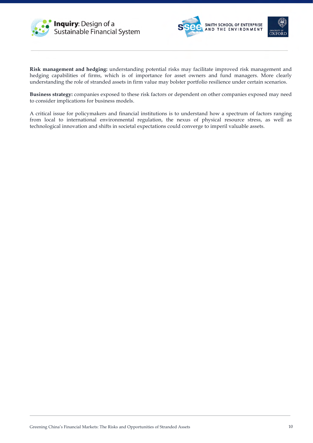





**Risk management and hedging:** understanding potential risks may facilitate improved risk management and hedging capabilities of firms, which is of importance for asset owners and fund managers. More clearly understanding the role of stranded assets in firm value may bolster portfolio resilience under certain scenarios.

**Business strategy:** companies exposed to these risk factors or dependent on other companies exposed may need to consider implications for business models.

A critical issue for policymakers and financial institutions is to understand how a spectrum of factors ranging from local to international environmental regulation, the nexus of physical resource stress, as well as technological innovation and shifts in societal expectations could converge to imperil valuable assets.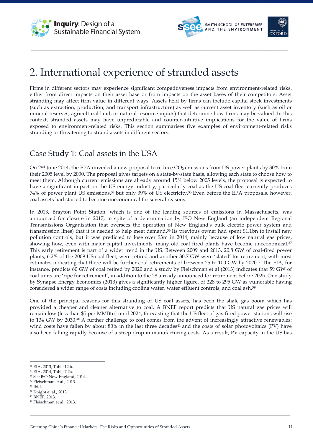





# 2. International experience of stranded assets

Firms in different sectors may experience significant competitiveness impacts from environment-related risks, either from direct impacts on their asset base or from impacts on the asset bases of their competitors. Asset stranding may affect firm value in different ways. Assets held by firms can include capital stock investments (such as extraction, production, and transport infrastructure) as well as current asset inventory (such as oil or mineral reserves, agricultural land, or natural resource inputs) that determine how firms may be valued. In this context, stranded assets may have unpredictable and counter-intuitive implications for the value of firms exposed to environment-related risks. This section summarises five examples of environment-related risks stranding or threatening to strand assets in different sectors.

# Case Study 1: Coal assets in the USA

On  $2<sup>nd</sup>$  June 2014, the EPA unveiled a new proposal to reduce  $CO<sub>2</sub>$  emissions from US power plants by 30% from their 2005 level by 2030. The proposal gives targets on a state-by-state basis, allowing each state to choose how to meet them. Although current emissions are already around 15% below 2005 levels, the proposal is expected to have a significant impact on the US energy industry, particularly coal as the US coal fleet currently produces 74% of power plant US emissions,34 but only 39% of US electricity.35 Even before the EPA proposals, however, coal assets had started to become uneconomical for several reasons.

In 2013, Brayton Point Station, which is one of the leading sources of emissions in Massachusetts, was announced for closure in 2017, in spite of a determination by ISO New England (an independent Regional Transmissions Organisation that oversees the operation of New England's bulk electric power system and transmission lines) that it is needed to help meet demand.36 Its previous owner had spent \$1.1bn to install new pollution controls, but it was predicted to lose over \$3m in 2014, mainly because of low natural gas prices, showing how, even with major capital investments, many old coal fired plants have become uneconomical.<sup>37</sup> This early retirement is part of a wider trend in the US. Between 2009 and 2013, 20.8 GW of coal-fired power plants, 6.2% of the 2009 US coal fleet, were retired and another 30.7 GW were 'slated' for retirement, with most estimates indicating that there will be further coal retirements of between 25 to 100 GW by 2020.38 The EIA, for instance, predicts 60 GW of coal retired by 2020 and a study by Fleischman et al (2013) indicates that 59 GW of coal units are 'ripe for retirement', in addition to the 28 already announced for retirement before 2025. One study by Synapse Energy Economics (2013) gives a significantly higher figure, of 228 to 295 GW as vulnerable having considered a wider range of costs including cooling water, water effluent controls, and coal ash.39

One of the principal reasons for this stranding of US coal assets, has been the shale gas boom which has provided a cheaper and cleaner alternative to coal. A BNEF report predicts that US natural gas prices will remain low (less than \$5 per MMBtu) until 2024, forecasting that the US fleet of gas-fired power stations will rise to 134 GW by 2030.40 A further challenge to coal comes from the advent of increasingly attractive renewables: wind costs have fallen by about  $80\%$  in the last three decades<sup>41</sup> and the costs of solar photovoltaics (PV) have also been falling rapidly because of a steep drop in manufacturing costs. As a result, PV capacity in the US has

- <sup>35</sup> EIA, 2014, Table 7.2a.
- <sup>36</sup> See ISO New England, 2014 .
- <sup>37</sup> Fleischman et al., 2013.
- <sup>38</sup> Ibid.
- <sup>39</sup> Knight et al., 2013.

 <sup>34</sup> EIA, 2013, Table 12.6.

<sup>40</sup> BNEF, 2013.

<sup>41</sup> Fleischman et al., 2013.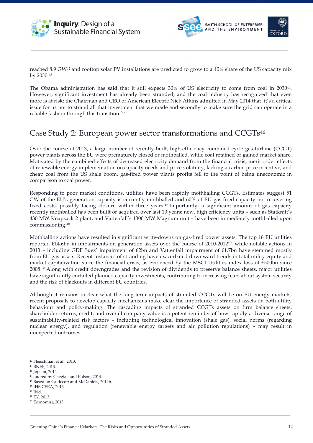





reached 8.9 GW42 and rooftop solar PV installations are predicted to grow to a 10% share of the US capacity mix by 2030.43

The Obama administration has said that it still expects 30% of US electricity to come from coal in 2030<sup>44</sup>. However, significant investment has already been stranded, and the coal industry has recognized that even more is at risk: the Chairman and CEO of American Electric Nick Atkins admitted in May 2014 that 'it's a critical issue for us not to strand all that investment that we made and secondly to make sure the grid can operate in a reliable fashion through this transition.'45

### Case Study 2: European power sector transformations and CCGTs46

Over the course of 2013, a large number of recently built, high-efficiency combined cycle gas-turbine (CCGT) power plants across the EU were prematurely closed or mothballed, while coal retained or gained market share. Motivated by the combined effects of decreased electricity demand from the financial crisis, merit order effects of renewable energy implementation on capacity needs and price volatility, lacking a carbon price incentive, and cheap coal from the US shale boom, gas-fired power plants profits fell to the point of being uneconomic in comparison to coal power.

Responding to poor market conditions, utilities have been rapidly mothballing CCGTs. Estimates suggest 51 GW of the EU's generation capacity is currently mothballed and 60% of EU gas-fired capacity not recovering fixed costs, possibly facing closure within three years.47 Importantly, a significant amount of gas capacity recently mothballed has been built or acquired over last 10 years: new, high efficiency units – such as Statkraft's 430 MW Knapsack 2 plant, and Vattenfall's 1300 MW Magnum unit – have been immediately mothballed upon commissioning.48

Mothballing actions have resulted in significant write-downs on gas-fired power assets. The top 16 EU utilities reported €14.6bn in impairments on generation assets over the course of 2010-201249, while notable actions in 2013 – including GDF Suez' impairment of €2bn and Vattenfall impairment of €1.7bn have stemmed mostly from EU gas assets. Recent instances of stranding have exacerbated downward trends in total utility equity and market capitalization since the financial crisis, as evidenced by the MSCI Utilities index loss of  $\epsilon$ 500bn since 2008.50 Along with credit downgrades and the revision of dividends to preserve balance sheets, major utilities have significantly curtailed planned capacity investments, contributing to increasing fears about system security and the risk of blackouts in different EU countries.

Although it remains unclear what the long-term impacts of stranded CCGTs will be on EU energy markets, recent proposals to develop capacity mechanisms make clear the importance of stranded assets on both utility behaviour and policy-making. The cascading impacts of stranded CCGTs assets on firm balance sheets, shareholder returns, credit, and overall company value is a potent reminder of how rapidly a diverse range of sustainability-related risk factors – including technological innovation (shale gas), social norms (regarding nuclear energy), and regulation (renewable energy targets and air pollution regulations) – may result in unexpected outcomes.

<sup>42</sup> Fleischman et al., 2013.

<sup>43</sup> BNEF, 2013.

<sup>44</sup> Jopson, 2014.

<sup>45</sup> quoted by Chegiak and Polson, 2014.

<sup>46</sup> Based on Caldecott and McDaniels, 2014b.

<sup>47</sup> IHS CERA, 2013. <sup>48</sup> Ibid.

<sup>49</sup> EY, 2013.

<sup>50</sup> Economist, 2013.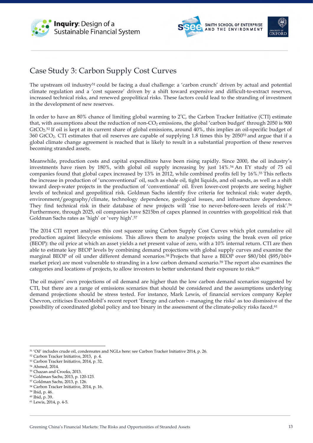





# Case Study 3: Carbon Supply Cost Curves

The upstream oil industry51 could be facing a dual challenge: a 'carbon crunch' driven by actual and potential climate regulation and a 'cost squeeze' driven by a shift toward expensive and difficult-to-extract reserves, increased technical risks, and renewed geopolitical risks. These factors could lead to the stranding of investment in the development of new reserves.

In order to have an 80% chance of limiting global warming to 2°C, the Carbon Tracker Initiative (CTI) estimate that, with assumptions about the reduction of non- $CO<sub>2</sub>$  emissions, the global 'carbon budget' through 2050 is 900  $GtCO<sub>2</sub>52$  If oil is kept at its current share of global emissions, around  $40%$ , this implies an oil-specific budget of 360 GtCO2. CTI estimates that oil reserves are capable of supplying 1.8 times this by 205053 and argue that if a global climate change agreement is reached that is likely to result in a substantial proportion of these reserves becoming stranded assets.

Meanwhile, production costs and capital expenditure have been rising rapidly. Since 2000, the oil industry's investments have risen by 180%, with global oil supply increasing by just 14%.54 An EY study of 75 oil companies found that global capex increased by 13% in 2012, while combined profits fell by 16%.55 This reflects the increase in production of 'unconventional' oil, such as shale oil, tight liquids, and oil sands, as well as a shift toward deep-water projects in the production of 'conventional' oil. Even lower-cost projects are seeing higher levels of technical and geopolitical risk. Goldman Sachs identify five criteria for technical risk: water depth, environment/geography/climate, technology dependence, geological issues, and infrastructure dependence. They find technical risk in their database of new projects will 'rise to never-before-seen levels of risk'.56 Furthermore, through 2025, oil companies have \$215bn of capex planned in countries with geopolitical risk that Goldman Sachs rates as 'high' or 'very high'.57

The 2014 CTI report analyses this cost squeeze using Carbon Supply Cost Curves which plot cumulative oil production against lifecycle emissions. This allows them to analyse projects using the break even oil price (BEOP): the oil price at which an asset yields a net present value of zero, with a 10% internal return. CTI are then able to estimate key BEOP levels by combining demand projections with global supply curves and examine the marginal BEOP of oil under different demand scenarios.58 Projects that have a BEOP over \$80/bbl (\$95/bbl+ market price) are most vulnerable to stranding in a low carbon demand scenario.59 The report also examines the categories and locations of projects, to allow investors to better understand their exposure to risk.<sup>60</sup>

The oil majors' own projections of oil demand are higher than the low carbon demand scenarios suggested by CTI, but there are a range of emissions scenarios that should be considered and the assumptions underlying demand projections should be stress tested. For instance, Mark Lewis, of financial services company Kepler Chevron, criticises ExxonMobil's recent report 'Energy and carbon – managing the risks' as too dismissive of the possibility of coordinated global policy and too binary in the assessment of the climate-policy risks faced.<sup>61</sup>

 <sup>51</sup> 'Oil' includes crude oil, condensates and NGLs here: see Carbon Tracker Initiative 2014, p. 26.

<sup>52</sup> Carbon Tracker Initiative, 2013, p. 4.

<sup>53</sup> Carbon Tracker Initiative, 2014, p. 32.

<sup>54</sup> Ahmed, 2014.

<sup>55</sup> Chazan and Crooks, 2013.

<sup>56</sup> Goldman Sachs, 2013, p. 120-123.

<sup>57</sup> Goldman Sachs, 2013, p. 126.

<sup>58</sup> Carbon Tracker Initiative, 2014, p. 16.

<sup>59</sup> Ibid, p. 46. <sup>60</sup> Ibid, p. 39.

<sup>61</sup> Lewis, 2014, p. 4-5.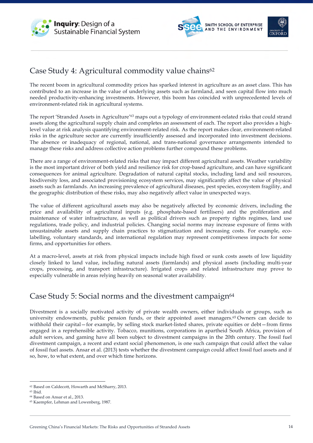



# Case Study 4: Agricultural commodity value chains<sup>62</sup>

The recent boom in agricultural commodity prices has sparked interest in agriculture as an asset class. This has contributed to an increase in the value of underlying assets such as farmland, and seen capital flow into much needed productivity-enhancing investments. However, this boom has coincided with unprecedented levels of environment-related risk in agricultural systems.

The report 'Stranded Assets in Agriculture'63 maps out a typology of environment-related risks that could strand assets along the agricultural supply chain and completes an assessment of each. The report also provides a highlevel value at risk analysis quantifying environment-related risk. As the report makes clear, environment-related risks in the agriculture sector are currently insufficiently assessed and incorporated into investment decisions. The absence or inadequacy of regional, national, and trans-national governance arrangements intended to manage these risks and address collective action problems further compound these problems.

There are a range of environment-related risks that may impact different agricultural assets. Weather variability is the most important driver of both yield and resilience risk for crop-based agriculture, and can have significant consequences for animal agriculture. Degradation of natural capital stocks, including land and soil resources, biodiversity loss, and associated provisioning ecosystem services, may significantly affect the value of physical assets such as farmlands. An increasing prevalence of agricultural diseases, pest species, ecosystem fragility, and the geographic distribution of these risks, may also negatively affect value in unexpected ways.

The value of different agricultural assets may also be negatively affected by economic drivers, including the price and availability of agricultural inputs (e.g. phosphate-based fertilisers) and the proliferation and maintenance of water infrastructure, as well as political drivers such as property rights regimes, land use regulations, trade policy, and industrial policies. Changing social norms may increase exposure of firms with unsustainable assets and supply chain practices to stigmatization and increasing costs. For example, ecolabelling, voluntary standards, and international regulation may represent competitiveness impacts for some firms, and opportunities for others.

At a macro-level, assets at risk from physical impacts include high fixed or sunk costs assets of low liquidity closely linked to land value, including natural assets (farmlands) and physical assets (including multi-year crops, processing, and transport infrastructure). Irrigated crops and related infrastructure may prove to especially vulnerable in areas relying heavily on seasonal water availability.

# Case Study 5: Social norms and the divestment campaign<sup>64</sup>

Divestment is a socially motivated activity of private wealth owners, either individuals or groups, such as university endowments, public pension funds, or their appointed asset managers.65 Owners can decide to withhold their capital—for example, by selling stock market-listed shares, private equities or debt—from firms engaged in a reprehensible activity. Tobacco, munitions, corporations in apartheid South Africa, provision of adult services, and gaming have all been subject to divestment campaigns in the 20th century. The fossil fuel divestment campaign, a recent and extant social phenomenon, is one such campaign that could affect the value of fossil fuel assets. Ansar et al. (2013) tests whether the divestment campaign could affect fossil fuel assets and if so, how, to what extent, and over which time horizons.

 <sup>62</sup> Based on Caldecott, Howarth and McSharry, 2013.

<sup>63</sup> Ibid.

<sup>64</sup> Based on Ansar et al., 2013.

<sup>65</sup> Kaempfer, Lehman and Lowenberg, 1987.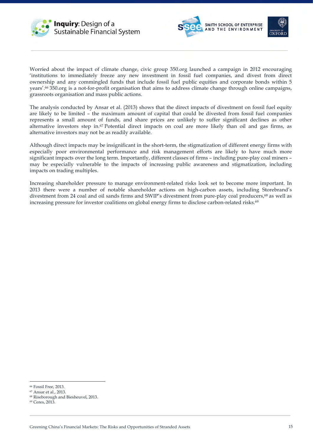





Worried about the impact of climate change, civic group 350.org launched a campaign in 2012 encouraging 'institutions to immediately freeze any new investment in fossil fuel companies, and divest from direct ownership and any commingled funds that include fossil fuel public equities and corporate bonds within 5 years'.66 350.org is a not-for-profit organisation that aims to address climate change through online campaigns, grassroots organisation and mass public actions.

The analysis conducted by Ansar et al. (2013) shows that the direct impacts of divestment on fossil fuel equity are likely to be limited – the maximum amount of capital that could be divested from fossil fuel companies represents a small amount of funds, and share prices are unlikely to suffer significant declines as other alternative investors step in.67 Potential direct impacts on coal are more likely than oil and gas firms, as alternative investors may not be as readily available.

Although direct impacts may be insignificant in the short-term, the stigmatization of different energy firms with especially poor environmental performance and risk management efforts are likely to have much more significant impacts over the long term. Importantly, different classes of firms – including pure-play coal miners – may be especially vulnerable to the impacts of increasing public awareness and stigmatization, including impacts on trading multiples.

Increasing shareholder pressure to manage environment-related risks look set to become more important. In 2013 there were a number of notable shareholder actions on high-carbon assets, including Storebrand's divestment from 24 coal and oil sands firms and SWIP's divestment from pure-play coal producers,<sup>68</sup> as well as increasing pressure for investor coalitions on global energy firms to disclose carbon-related risks.<sup>69</sup>

 <sup>66</sup> Fossil Free, 2013.

<sup>67</sup> Ansar et al., 2013.

<sup>68</sup> Riseborough and Biesheuvel, 2013.

<sup>69</sup> Ceres, 2013.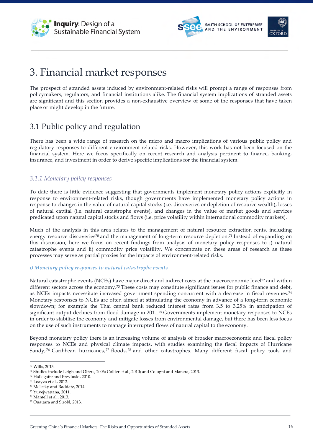





# 3. Financial market responses

The prospect of stranded assets induced by environment-related risks will prompt a range of responses from policymakers, regulators, and financial institutions alike. The financial system implications of stranded assets are significant and this section provides a non-exhaustive overview of some of the responses that have taken place or might develop in the future.

# 3.1 Public policy and regulation

There has been a wide range of research on the micro and macro implications of various public policy and regulatory responses to different environment-related risks. However, this work has not been focused on the financial system. Here we focus specifically on recent research and analysis pertinent to finance, banking, insurance, and investment in order to derive specific implications for the financial system.

### *3.1.1 Monetary policy responses*

To date there is little evidence suggesting that governments implement monetary policy actions explicitly in response to environment-related risks, though governments have implemented monetary policy actions in response to changes in the value of natural capital stocks (i.e. discoveries or depletion of resource wealth), losses of natural capital (i.e. natural catastrophe events), and changes in the value of market goods and services predicated upon natural capital stocks and flows (i.e. price volatility within international commodity markets).

Much of the analysis in this area relates to the management of natural resource extraction rents, including energy resource discoveries<sup>70</sup> and the management of long-term resource depletion.<sup>71</sup> Instead of expanding on this discussion, here we focus on recent findings from analysis of monetary policy responses to i) natural catastrophe events and ii) commodity price volatility. We concentrate on these areas of research as these processes may serve as partial proxies for the impacts of environment-related risks.

#### *i) Monetary policy responses to natural catastrophe events*

Natural catastrophe events (NCEs) have major direct and indirect costs at the macroeconomic level72 and within different sectors across the economy.<sup>73</sup> These costs may constitute significant issues for public finance and debt, as NCEs impacts necessitate increased government spending concurrent with a decrease in fiscal revenues.<sup>74</sup> Monetary responses to NCEs are often aimed at stimulating the economy in advance of a long-term economic slowdown; for example the Thai central bank reduced interest rates from 3.5 to 3.25% in anticipation of significant output declines from flood damage in 2011. <sup>75</sup> Governments implement monetary responses to NCEs in order to stabilise the economy and mitigate losses from environmental damage, but there has been less focus on the use of such instruments to manage interrupted flows of natural capital to the economy.

Beyond monetary policy there is an increasing volume of analysis of broader macroeconomic and fiscal policy responses to NCEs and physical climate impacts, with studies examining the fiscal impacts of Hurricane Sandy, <sup>76</sup> Caribbean hurricanes, <sup>77</sup> floods, <sup>78</sup> and other catastrophes. Many different fiscal policy tools and

<sup>70</sup> Wills, 2013.

<sup>71</sup> Studies include Leigh and Olters, 2006; Collier et al., 2010; and Cologni and Manera, 2013.

<sup>72</sup> Hallegatte and Przyluski, 2010.

<sup>73</sup> Loayza et al., 2012.

<sup>74</sup> Melecky and Raddatz, 2014.

<sup>75</sup> Yuvejwattana, 2011.

<sup>76</sup> Mantell et al., 2013.

<sup>77</sup> Ouattara and Strobl, 2013.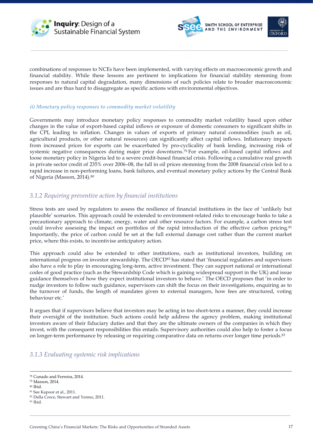





combinations of responses to NCEs have been implemented, with varying effects on macroeconomic growth and financial stability. While these lessons are pertinent to implications for financial stability stemming from responses to natural capital degradation, many dimensions of such policies relate to broader macroeconomic issues and are thus hard to disaggregate as specific actions with environmental objectives.

#### *ii) Monetary policy responses to commodity market volatility*

Governments may introduce monetary policy responses to commodity market volatility based upon either changes in the value of export-based capital inflows or exposure of domestic consumers to significant shifts in the CPI, leading to inflation. Changes in values of exports of primary natural commodities (such as oil, agricultural products, or other natural resources) can significantly affect capital inflows. Inflationary impacts from increased prices for exports can be exacerbated by pro-cyclicality of bank lending, increasing risk of systemic negative consequences during major price downturns.79 For example, oil-based capital inflows and loose monetary policy in Nigeria led to a severe credit-based financial crisis. Following a cumulative real growth in private sector credit of 235% over 2006–08, the fall in oil prices stemming from the 2008 financial crisis led to a rapid increase in non-performing loans, bank failures, and eventual monetary policy actions by the Central Bank of Nigeria (Masson, 2014).80

### *3.1.2 Requiring preventive action by financial institutions*

Stress tests are used by regulators to assess the resilience of financial institutions in the face of 'unlikely but plausible' scenarios. This approach could be extended to environment-related risks to encourage banks to take a precautionary approach to climate, energy, water and other resource factors. For example, a carbon stress test could involve assessing the impact on portfolios of the rapid introduction of the effective carbon pricing.<sup>81</sup> Importantly, the price of carbon could be set at the full external damage cost rather than the current market price, where this exists, to incentivise anticipatory action.

This approach could also be extended to other institutions, such as institutional investors, building on international progress on investor stewardship. The OECD82 has stated that 'financial regulators and supervisors also have a role to play in encouraging long-term, active investment. They can support national or international codes of good practice (such as the Stewardship Code which is gaining widespread support in the UK) and issue guidance themselves of how they expect institutional investors to behave.' The OECD proposes that 'in order to nudge investors to follow such guidance, supervisors can shift the focus on their investigations, enquiring as to the turnover of funds, the length of mandates given to external managers, how fees are structured, voting behaviour etc.'

It argues that if supervisors believe that investors may be acting in too short-term a manner, they could increase their oversight of the institution. Such actions could help address the agency problem, making institutional investors aware of their fiduciary duties and that they are the ultimate owners of the companies in which they invest, with the consequent responsibilities this entails. Supervisory authorities could also help to foster a focus on longer-term performance by releasing or requiring comparative data on returns over longer time periods.83

#### *3.1.3 Evaluating systemic risk implications*

<sup>78</sup> Cunado and Ferreira, 2014.

<sup>79</sup> Masson, 2014.

<sup>80</sup> Ibid.

<sup>81</sup> See Kapoor et al., 2011.

<sup>82</sup> Della Croce, Stewart and Yermo, 2011.

<sup>83</sup> Ibid.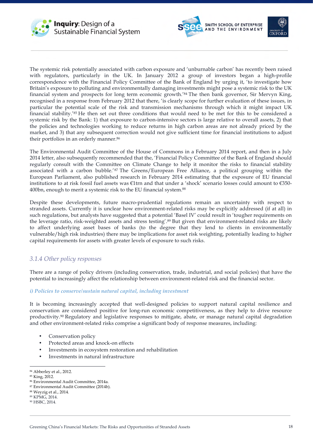





The systemic risk potentially associated with carbon exposure and 'unburnable carbon' has recently been raised with regulators, particularly in the UK. In January 2012 a group of investors began a high-profile correspondence with the Financial Policy Committee of the Bank of England by urging it, 'to investigate how Britain's exposure to polluting and environmentally damaging investments might pose a systemic risk to the UK financial system and prospects for long term economic growth.'84 The then bank governor, Sir Mervyn King, recognised in a response from February 2012 that there, 'is clearly scope for further evaluation of these issues, in particular the potential scale of the risk and transmission mechanisms through which it might impact UK financial stability.'85 He then set out three conditions that would need to be met for this to be considered a systemic risk by the Bank: 1) that exposure to carbon-intensive sectors is large relative to overall assets, 2) that the policies and technologies working to reduce returns in high carbon areas are not already priced by the market, and 3) that any subsequent correction would not give sufficient time for financial institutions to adjust their portfolios in an orderly manner.<sup>86</sup>

The Environmental Audit Committee of the House of Commons in a February 2014 report, and then in a July 2014 letter, also subsequently recommended that the, 'Financial Policy Committee of the Bank of England should regularly consult with the Committee on Climate Change to help it monitor the risks to financial stability associated with a carbon bubble.'87 The Greens/European Free Alliance, a political grouping within the European Parliament, also published research in February 2014 estimating that the exposure of EU financial institutions to at risk fossil fuel assets was €1trn and that under a 'shock' scenario losses could amount to €350- 400bn, enough to merit a systemic risk to the EU financial system.88

Despite these developments, future macro-prudential regulations remain an uncertainty with respect to stranded assets. Currently it is unclear how environment-related risks may be explicitly addressed (if at all) in such regulations, but analysts have suggested that a potential 'Basel IV' could result in 'tougher requirements on the leverage ratio, risk-weighted assets and stress testing'.<sup>89</sup> But given that environment-related risks are likely to affect underlying asset bases of banks (to the degree that they lend to clients in environmentally vulnerable/high risk industries) there may be implications for asset risk weighting, potentially leading to higher capital requirements for assets with greater levels of exposure to such risks.

### *3.1.4 Other policy responses*

There are a range of policy drivers (including conservation, trade, industrial, and social policies) that have the potential to increasingly affect the relationship between environment-related risk and the financial sector.

#### *i) Policies to conserve/sustain natural capital, including investment*

It is becoming increasingly accepted that well-designed policies to support natural capital resilience and conservation are considered positive for long-run economic competitiveness, as they help to drive resource productivity.90 Regulatory and legislative responses to mitigate, abate, or manage natural capital degradation and other environment-related risks comprise a significant body of response measures, including:

- Conservation policy
- Protected areas and knock-on effects
- Investments in ecosystem restoration and rehabilitation
- Investments in natural infrastructure

<sup>84</sup> Abberley et al., 2012.

<sup>85</sup> King, 2012.

<sup>86</sup> Environmental Audit Committee, 2014a.

<sup>87</sup> Environmental Audit Committee (2014b).

<sup>88</sup> Weyzig et al., 2014.

<sup>89</sup> KPMG, 2014.

<sup>90</sup> HSBC, 2014.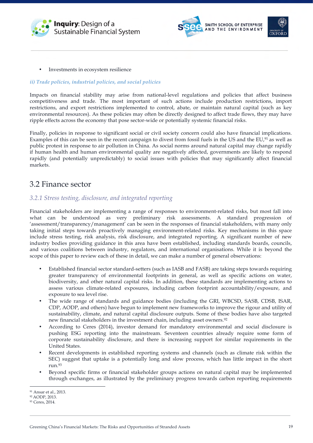





• Investments in ecosystem resilience

#### *ii) Trade policies, industrial policies, and social policies*

Impacts on financial stability may arise from national-level regulations and policies that affect business competitiveness and trade. The most important of such actions include production restrictions, import restrictions, and export restrictions implemented to control, abate, or maintain natural capital (such as key environmental resources). As these policies may often be directly designed to affect trade flows, they may have ripple effects across the economy that pose sector-wide or potentially systemic financial risks.

Finally, policies in response to significant social or civil society concern could also have financial implications. Examples of this can be seen in the recent campaign to divest from fossil fuels in the US and the EU, $91$  as well as public protest in response to air pollution in China. As social norms around natural capital may change rapidly if human health and human environmental quality are negatively affected, governments are likely to respond rapidly (and potentially unpredictably) to social issues with policies that may significantly affect financial markets.

### 3.2 Finance sector

### *3.2.1 Stress testing, disclosure, and integrated reporting*

Financial stakeholders are implementing a range of responses to environment-related risks, but most fall into what can be understood as very preliminary risk assessments. A standard progression of 'assessment/transparency/management' can be seen in the responses of financial stakeholders, with many only taking initial steps towards proactively managing environment-related risks. Key mechanisms in this space include stress testing, risk analysis, risk disclosure, and integrated reporting. A significant number of new industry bodies providing guidance in this area have been established, including standards boards, councils, and various coalitions between industry, regulators, and international organisations. While it is beyond the scope of this paper to review each of these in detail, we can make a number of general observations:

- Established financial sector standard-setters (such as IASB and FASB) are taking steps towards requiring greater transparency of environmental footprints in general, as well as specific actions on water, biodiversity, and other natural capital risks. In addition, these standards are implementing actions to assess various climate-related exposures, including carbon footprint accountability/exposure, and exposure to sea level rise.
- The wide range of standards and guidance bodies (including the GRI, WBCSD, SASB, CDSB, ISAR, CDP, AODP, and others) have begun to implement new frameworks to improve the rigour and utility of sustainability, climate, and natural capital disclosure outputs. Some of these bodies have also targeted new financial stakeholders in the investment chain, including asset owners.92
- According to Ceres (2014), investor demand for mandatory environmental and social disclosure is pushing ESG reporting into the mainstream. Seventeen countries already require some form of corporate sustainability disclosure, and there is increasing support for similar requirements in the United States.
- Recent developments in established reporting systems and channels (such as climate risk within the SEC) suggest that uptake is a potentially long and slow process, which has little impact in the short run.93
- Beyond specific firms or financial stakeholder groups actions on natural capital may be implemented through exchanges, as illustrated by the preliminary progress towards carbon reporting requirements

<sup>91</sup> Ansar et al., 2013.

<sup>92</sup> AODP, 2013.

<sup>93</sup> Ceres, 2014.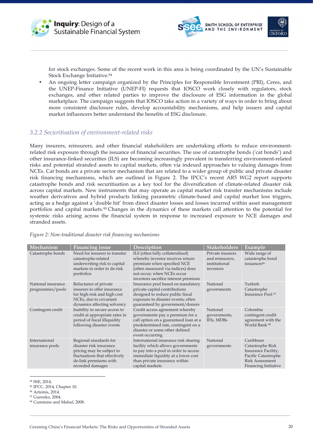





for stock exchanges. Some of the recent work in this area is being coordinated by the UN's Sustainable Stock Exchange Initiative.94

• An ongoing letter campaign organized by the Principles for Responsible Investment (PRI), Ceres, and the UNEP-Finance Initiative (UNEP-FI) requests that IOSCO work closely with regulators, stock exchanges, and other related parties to improve the disclosure of ESG information in the global marketplace. The campaign suggests that IOSCO take action in a variety of ways in order to bring about more consistent disclosure rules, develop accountability mechanisms, and help issuers and capital market influencers better understand the benefits of ESG disclosure.

#### *3.2.2 Securitisation of environment-related risks*

Many insurers, reinsurers, and other financial stakeholders are undertaking efforts to reduce environmentrelated risk exposure through the issuance of financial securities. The use of catastrophe bonds ('cat bonds') and other insurance-linked securities (ILS) are becoming increasingly prevalent in transferring environment-related risks and potential stranded assets to capital markets, often via indexed approaches to valuing damages from NCEs. Cat bonds are a private sector mechanism that are related to a wider group of public and private disaster risk financing mechanisms, which are outlined in Figure 2. The IPCC's recent AR5 WG2 report supports catastrophe bonds and risk securitisation as a key tool for the diversification of climate-related disaster risk across capital markets. New instruments that may operate as capital market risk transfer mechanisms include weather derivatives and hybrid products linking parametric climate-based and capital market loss triggers, acting as a hedge against a 'double hit' from direct disaster losses and losses incurred within asset management portfolios and capital markets.95 Changes in the dynamics of these markets call attention to the potential for systemic risks arising across the financial system in response to increased exposure to NCE damages and stranded assets.

| Mechanism                              | <b>Financing issue</b>                                                                                                                                       | Description                                                                                                                                                                                                   | <b>Stakeholders</b>                                               | Example                                                                                                                              |
|----------------------------------------|--------------------------------------------------------------------------------------------------------------------------------------------------------------|---------------------------------------------------------------------------------------------------------------------------------------------------------------------------------------------------------------|-------------------------------------------------------------------|--------------------------------------------------------------------------------------------------------------------------------------|
| Catastrophe bonds                      | Need for insurers to transfer<br>catastrophe-related<br>underwriting risk to capital<br>markets in order to de-risk<br>portfolios                            | ILS (often fully collateralised)<br>whereby investor receives return<br>premium when specified NCE<br>(often measured via indices) does<br>not occur; when NCEs occur<br>investors sacrifice interest premium | Private insurers<br>and reinsurers,<br>institutional<br>investors | Wide range of<br>catastrophe bond<br>issuances <sup>96</sup>                                                                         |
| National insurance<br>programmes/pools | Reluctance of private<br>insurers to offer insurance<br>for high-risk and high cost<br>NCEs, due to covariant<br>dynamics affecting solvency                 | Insurance pool based on mandatory<br>private capital contributions<br>designed to reduce public fiscal<br>exposure to disaster events; often<br>guaranteed by government/donors                               | National<br>governments                                           | Turkish<br>Catastrophe<br>Insurance Pool <sup>97</sup>                                                                               |
| Contingent credit                      | Inability to secure access to<br>credit at appropriate rates in<br>period of fiscal illiquidity<br>following disaster events                                 | Credit access agreement whereby<br>governments pay a premium for a<br>call option on a guaranteed loan at a<br>predetermined rate, contingent on a<br>disaster or some other defined<br>event occurring       | National<br>governments,<br>IFIs, MDBs                            | Colombia<br>contingent credit<br>agreement with the<br>World Bank <sup>98</sup>                                                      |
| International<br>insurance pools       | Regional standards for<br>disaster risk insurance<br>pricing may be subject to<br>fluctuations that effectively<br>de-link premiums with<br>recorded damages | International insurance risk sharing<br>facility which allows governments<br>to pay into a pool in order to access<br>immediate liquidity at a lower cost<br>than private insurance within<br>capital markets | National<br>governments                                           | Caribbean<br>Catastrophe Risk<br><b>Insurance Facility;</b><br>Pacific Catastrophe<br><b>Risk Assessment</b><br>Financing Initiative |

*Figure 2: Non-traditional disaster risk financing mechanisms*

- <sup>96</sup> Artemis, 2014.
- <sup>97</sup> Gurenko, 2004.
- <sup>98</sup> Cummins and Mahul, 2008.

 <sup>94</sup> SSE, 2014.

<sup>95</sup> IPCC, 2014, Chapter 10.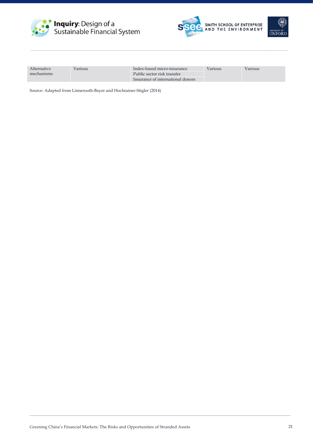





| Alternative | Various | Index-based micro-insurance       | Various | Various |
|-------------|---------|-----------------------------------|---------|---------|
| mechanisms  |         | Public sector risk transfer       |         |         |
|             |         | Insurance of international donors |         |         |

Source: Adapted from Linnerooth-Bayer and Hochrainer-Stigler (2014)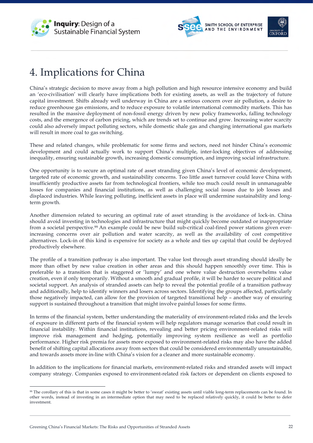





# 4. Implications for China

China's strategic decision to move away from a high pollution and high resource intensive economy and build an 'eco-civilisation' will clearly have implications both for existing assets, as well as the trajectory of future capital investment. Shifts already well underway in China are a serious concern over air pollution, a desire to reduce greenhouse gas emissions, and to reduce exposure to volatile international commodity markets. This has resulted in the massive deployment of non-fossil energy driven by new policy frameworks, falling technology costs, and the emergence of carbon pricing, which are trends set to continue and grow. Increasing water scarcity could also adversely impact polluting sectors, while domestic shale gas and changing international gas markets will result in more coal to gas switching.

These and related changes, while problematic for some firms and sectors, need not hinder China's economic development and could actually work to support China's multiple, inter-locking objectives of addressing inequality, ensuring sustainable growth, increasing domestic consumption, and improving social infrastructure.

One opportunity is to secure an optimal rate of asset stranding given China's level of economic development, targeted rate of economic growth, and sustainability concerns. Too little asset turnover could leave China with insufficiently productive assets far from technological frontiers, while too much could result in unmanageable losses for companies and financial institutions, as well as challenging social issues due to job losses and displaced industries. While leaving polluting, inefficient assets in place will undermine sustainability and longterm growth.

Another dimension related to securing an optimal rate of asset stranding is the avoidance of lock-in. China should avoid investing in technologies and infrastructure that might quickly become outdated or inappropriate from a societal perspective.99 An example could be new build sub-critical coal-fired power stations given everincreasing concerns over air pollution and water scarcity, as well as the availability of cost competitive alternatives. Lock-in of this kind is expensive for society as a whole and ties up capital that could be deployed productively elsewhere.

The profile of a transition pathway is also important. The value lost through asset stranding should ideally be more than offset by new value creation in other areas and this should happen smoothly over time. This is preferable to a transition that is staggered or 'lumpy' and one where value destruction overwhelms value creation, even if only temporarily. Without a smooth and gradual profile, it will be harder to secure political and societal support. An analysis of stranded assets can help to reveal the potential profile of a transition pathway and additionally, help to identify winners and losers across sectors. Identifying the groups affected, particularly those negatively impacted, can allow for the provision of targeted transitional help – another way of ensuring support is sustained throughout a transition that might involve painful losses for some firms.

In terms of the financial system, better understanding the materiality of environment-related risks and the levels of exposure in different parts of the financial system will help regulators manage scenarios that could result in financial instability. Within financial institutions, revealing and better pricing environment-related risks will improve risk management and hedging, potentially improving system resilience as well as portfolio performance. Higher risk premia for assets more exposed to environment-related risks may also have the added benefit of shifting capital allocations away from sectors that could be considered environmentally unsustainable, and towards assets more in-line with China's vision for a cleaner and more sustainable economy.

In addition to the implications for financial markets, environment-related risks and stranded assets will impact company strategy. Companies exposed to environment-related risk factors or dependent on clients exposed to

 <sup>99</sup> The corollary of this is that in some cases it might be better to 'sweat' existing assets until viable long-term replacements can be found. In other words, instead of investing in an intermediate option that may need to be replaced relatively quickly, it could be better to defer investment.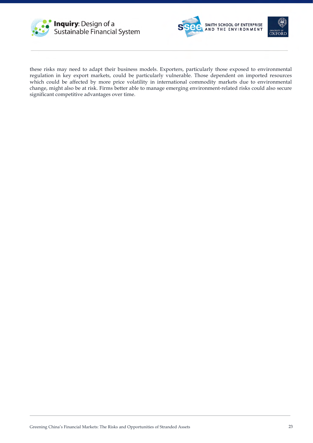





these risks may need to adapt their business models. Exporters, particularly those exposed to environmental regulation in key export markets, could be particularly vulnerable. Those dependent on imported resources which could be affected by more price volatility in international commodity markets due to environmental change, might also be at risk. Firms better able to manage emerging environment-related risks could also secure significant competitive advantages over time.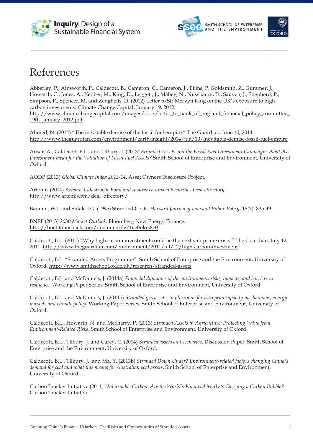





# References

Abberley, P., Ainsworth, P., Caldecott, B., Cameron, C., Cameron, J., Ekins, P, Goldsmith, Z.. Gummer, J., Howarth, C., Jones, A., Kenber, M., King, D., Leggett, J., Mabey, N., Nussbaum, D., Sauven, J., Shepherd, P., Simpson, P., Spencer, M. and Zenghelis, D. (2012) Letter to Sir Mervyn King on the UK's exposure to high carbon investments. Climate Change Capital, January 19, 2012. http://www.climatechangecapital.com/images/docs/letter\_to\_bank\_of\_england\_financial\_policy\_committee\_ 19th\_january\_2012.pdf

Ahmed, N. (2014) "The inevitable demise of the fossil fuel empire." The Guardian, June 10, 2014. http://www.theguardian.com/environment/earth-insight/2014/jun/10/inevitable-demise-fossil-fuel-empire

Ansar, A., Caldecott, B.L., and Tilbury, J. (2013) *Stranded Assets and the Fossil Fuel Divestment Campaign: What does Divestment mean for the Valuation of Fossil Fuel Assets?* Smith School of Enterprise and Environment, University of Oxford.

AODP (2013) *Global Climate Index 2013-14*. Asset Owners Disclosure Project.

Artemis (2014) *Artemis Catastrophe Bond and Insurance-Linked Securities Deal Directory*. http://www.artemis.bm/deal\_directory/

Baumol, W.J. and Sidak, J.G. (1995) Stranded Costs, *Harvard Journal of Law and Public Policy*, 18(3): 835-49.

BNEF (2013) *2030 Market Outlook*. Bloomberg New Energy Finance. http://bnef.folioshack.com/document/v71ve0nkrs8e0

Caldecott, B.L. (2011) "Why high carbon investment could be the next sub-prime crisis." The Guardian, July 12, 2011. http://www.theguardian.com/environment/2011/jul/12/high-carbon-investment

Caldecott, B.L. "Stranded Assets Programme". Smith School of Enterprise and the Environment, University of Oxford. http://www.smithschool.ox.ac.uk/research/stranded-assets

Caldecott, B.L. and McDaniels, J. (2014a) *Financial dynamics of the environment: risks, impacts, and barriers to resilience*. Working Paper Series, Smith School of Enterprise and Environment, University of Oxford.

Caldecott, B.L. and McDaniels, J. (2014b) *Stranded gas assets: Implications for European capacity mechanisms, energy markets and climate policy*. Working Paper Series, Smith School of Enterprise and Environment, University of Oxford.

Caldecott, B.L., Howarth, N. and McSharry, P. (2013) *Stranded Assets in Agriculture: Protecting Value from Environment-Related Risks*. Smith School of Enterprise and Environment, University of Oxford.

Caldecott, B.L., Tilbury, J. and Carey, C. (2014) *Stranded assets and scenarios*. Discussion Paper, Smith School of Enterprise and the Environment, University of Oxford.

Caldecott, B.L., Tilbury, J., and Ma, Y. (2013b) *Stranded Down Under? Environment-related factors changing China's demand for coal and what this means for Australian coal assets*. Smith School of Enterprise and Environment, University of Oxford.

Carbon Tracker Initiative (2011) *Unburnable Carbon: Are the World's Financial Markets Carrying a Carbon Bubble?* Carbon Tracker Initiative.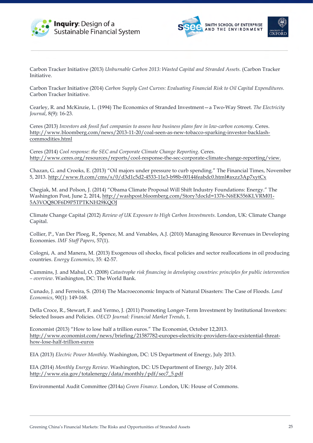





Carbon Tracker Initiative (2013) *Unburnable Carbon 2013: Wasted Capital and Stranded Assets*. (Carbon Tracker Initiative.

Carbon Tracker Initiative (2014) *Carbon Supply Cost Curves: Evaluating Financial Risk to Oil Capital Expenditures.* Carbon Tracker Initiative.

Cearley, R. and McKinzie, L. (1994) The Economics of Stranded Investment—a Two-Way Street. *The Electricity Journal*, 8(9): 16-23.

Ceres (2013) *Investors ask fossil fuel companies to assess how business plans fare in low-carbon economy*. Ceres. http://www.bloomberg.com/news/2013-11-20/coal-seen-as-new-tobacco-sparking-investor-backlashcommodities.html

Ceres (2014) *Cool response: the SEC and Corporate Climate Change Reporting*. Ceres. http://www.ceres.org/resources/reports/cool-response-the-sec-corporate-climate-change-reporting/view.

Chazan, G. and Crooks, E. (2013) "Oil majors under pressure to curb spending." The Financial Times, November 5, 2013. http://www.ft.com/cms/s/0/d3d1c5d2-4533-11e3-b98b-00144feabdc0.html#axzz3Ap7xytCx

Chegiak, M. and Polson, J. (2014) "Obama Climate Proposal Will Shift Industry Foundations: Energy." The Washington Post, June 2, 2014, http://washpost.bloomberg.com/Story?docId=1376-N6EK556KLVRM01- 5A3VOQ8OF6D9P5TPTKNH29KQOJ

Climate Change Capital (2012) *Review of UK Exposure to High Carbon Investments*. London, UK: Climate Change Capital.

Collier, P., Van Der Ploeg, R., Spence, M. and Venables, A.J. (2010) Managing Resource Revenues in Developing Economies. *IMF Staff Papers*, 57(1).

Cologni, A. and Manera, M. (2013) Exogenous oil shocks, fiscal policies and sector reallocations in oil producing countries. *Energy Economics*, 35: 42-57.

Cummins, J. and Mahul, O. (2008) *Catastrophe risk financing in developing countries: principles for public intervention – overview*. Washington, DC: The World Bank.

Cunado, J. and Ferreira, S. (2014) The Macroeconomic Impacts of Natural Disasters: The Case of Floods. *Land Economics*, 90(1): 149-168.

Della Croce, R., Stewart, F. and Yermo, J. (2011) Promoting Longer-Term Investment by Institutional Investors: Selected Issues and Policies. *OECD Journal: Financial Market Trends*, 1.

Economist (2013) "How to lose half a trillion euros." The Economist, October 12,2013. http://www.economist.com/news/briefing/21587782-europes-electricity-providers-face-existential-threathow-lose-half-trillion-euros

EIA (2013) *Electric Power Monthly*. Washington, DC: US Department of Energy, July 2013.

EIA (2014) *Monthly Energy Review*. Washington, DC: US Department of Energy, July 2014. http://www.eia.gov/totalenergy/data/monthly/pdf/sec7\_5.pdf

Environmental Audit Committee (2014a) *Green Finance*. London, UK: House of Commons.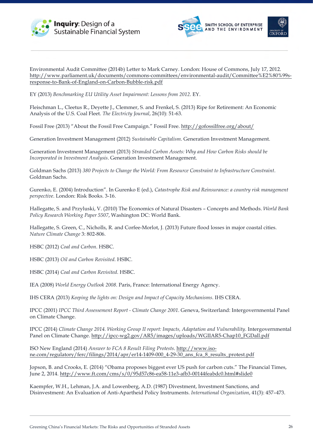





Environmental Audit Committee (2014b) Letter to Mark Carney. London: House of Commons, July 17, 2012. http://www.parliament.uk/documents/commons-committees/environmental-audit/Committee%E2%80%99sresponse-to-Bank-of-England-on-Carbon-Bubble-risk.pdf

EY (2013) *Benchmarking EU Utility Asset Impairment: Lessons from 2012*. EY.

Fleischman L., Cleetus R., Deyette J., Clemmer, S. and Frenkel, S. (2013) Ripe for Retirement: An Economic Analysis of the U.S. Coal Fleet. *The Electricty Journal*, 26(10): 51-63.

Fossil Free (2013) "About the Fossil Free Campaign." Fossil Free. http://gofossilfree.org/about/

Generation Investment Management (2012) *Sustainable Capitalism*. Generation Investment Management.

Generation Investment Management (2013) *Stranded Carbon Assets: Why and How Carbon Risks should be Incorporated in Investment Analysis*. Generation Investment Management.

Goldman Sachs (2013) *380 Projects to Change the World: From Resource Constraint to Infrastructure Constraint*. Goldman Sachs.

Gurenko, E. (2004) Introduction". In Gurenko E (ed.), *Catastrophe Risk and Reinsurance: a country risk management perspective*. London: Risk Books. 3-16.

Hallegatte, S. and Przyluski, V. (2010) The Economics of Natural Disasters – Concepts and Methods. *World Bank Policy Research Working Paper 5507*, Washington DC: World Bank.

Hallegatte, S. Green, C., Nicholls, R. and Corfee-Morlot, J. (2013) Future flood losses in major coastal cities. *Nature Climate Change* 3: 802-806.

HSBC (2012) *Coal and Carbon*. HSBC.

HSBC (2013) *Oil and Carbon Revisited*. HSBC.

HSBC (2014) *Coal and Carbon Revisited*. HSBC.

IEA (2008) *World Energy Outlook 2008*. Paris, France: International Energy Agency.

IHS CERA (2013) *Keeping the lights on: Design and Impact of Capacity Mechanisms*. IHS CERA.

IPCC (2001) *IPCC Third Assessement Report - Climate Change 2001*. Geneva, Switzerland: Intergovernmental Panel on Climate Change.

IPCC (2014) *Climate Change 2014. Working Group II report: Impacts, Adaptation and Vulnerability*. Intergovernmental Panel on Climate Change. http://ipcc-wg2.gov/AR5/images/uploads/WGIIAR5-Chap10\_FGDall.pdf

ISO New England (2014) *Answer to FCA 8 Result Filing Protests*. http://www.isone.com/regulatory/ferc/filings/2014/apr/er14-1409-000\_4-29-30\_ans\_fca\_8\_results\_protest.pdf

Jopson, B. and Crooks, E. (2014) "Obama proposes biggest ever US push for carbon cuts." The Financial Times, June 2, 2014. http://www.ft.com/cms/s/0/95d57c86-ea58-11e3-afb3-00144feabdc0.html#slide0

Kaempfer, W.H., Lehman, J.A. and Lowenberg, A.D. (1987) Divestment, Investment Sanctions, and Disinvestment: An Evaluation of Anti-Apartheid Policy Instruments. *International Organization*, 41(3): 457–473.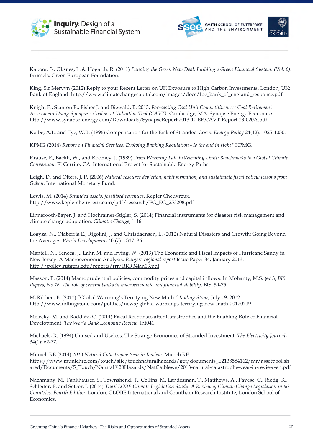





Kapoor, S., Oksnes, L. & Hogarth, R. (2011) *Funding the Green New Deal: Building a Green Financial System, (Vol. 6)*. Brussels: Green European Foundation.

King, Sir Meryvn (2012) Reply to your Recent Letter on UK Exposure to High Carbon Investments. London, UK: Bank of England. http://www.climatechangecapital.com/images/docs/fpc\_bank\_of\_england\_response.pdf

Knight P., Stanton E., Fisher J. and Biewald, B. 2013, *Forecasting Coal Unit Competitiveness: Coal Retirement Assessment Using Synapse's Coal asset Valuation Tool (CAVT)*. Cambridge, MA: Synapse Energy Economics. http://www.synapse-energy.com/Downloads/SynapseReport.2013-10.EF.CAVT-Report.13-020A.pdf

Kolbe, A.L. and Tye, W.B. (1996) Compensation for the Risk of Stranded Costs. *Energy Policy* 24(12): 1025-1050.

KPMG (2014) *Report on Financial Services: Evolving Banking Regulation - Is the end in sight?* KPMG.

Krause, F., Backh, W., and Koomey, J. (1989) *From Warming Fate to Warming Limit: Benchmarks to a Global Climate Convention*. El Cerrito, CA: International Project for Sustainable Energy Paths.

Leigh, D. and Olters, J. P. (2006) *Natural resource depletion, habit formation, and sustainable fiscal policy: lessons from Gabon*. International Monetary Fund.

Lewis, M. (2014) *Stranded assets, fossilised revenues*. Kepler Cheuvreux. http://www.keplercheuvreux.com/pdf/research/EG\_EG\_253208.pdf

Linnerooth-Bayer, J. and Hochrainer-Stigler, S. (2014) Financial instruments for disaster risk management and climate change adaptation. *Climatic Change*, 1-16.

Loayza, N., Olaberria E., Rigolini, J. and Christiaensen, L. (2012) Natural Disasters and Growth: Going Beyond the Averages. *World Development*, 40 (7): 1317–36.

Mantell, N., Seneca, J., Lahr, M. and Irving, W. (2013) The Economic and Fiscal Impacts of Hurricane Sandy in New Jersey: A Macroeconomic Analysis. *Rutgers regional report* Issue Paper 34, January 2013. http://policy.rutgers.edu/reports/rrr/RRR34jan13.pdf

Masson, P. (2014) Macroprudential policies, commodity prices and capital inflows. In Mohanty, M.S. (ed.), *BIS Papers, No 76, The role of central banks in macroeconomic and financial stability*. BIS, 59-75.

McKibben, B. (2011) "Global Warming's Terrifying New Math." *Rolling Stone*, July 19, 2012. http://www.rollingstone.com/politics/news/global-warmings-terrifying-new-math-20120719

Melecky, M. and Raddatz, C. (2014) Fiscal Responses after Catastrophes and the Enabling Role of Financial Development. *The World Bank Economic Review*, lht041.

Michaels, R. (1994) Unused and Useless: The Strange Economics of Stranded Investment. *The Electricity Journal*, 34(1): 62-77.

Munich RE (2014) *2013 Natural Catastrophe Year in Review.* Munch RE. https://www.munichre.com/touch/site/touchnaturalhazards/get/documents\_E2138584162/mr/assetpool.sh ared/Documents/5\_Touch/Natural%20Hazards/NatCatNews/2013-natural-catastrophe-year-in-review-en.pdf

Nachmany, M., Fankhauser, S., Townshend, T., Collins, M. Landesman, T., Matthews, A., Pavese, C., Rietig, K., Schleifer, P. and Setzer, J. (2014) *The GLOBE Climate Legislation Study: A Review of Climate Change Legislation in 66 Countries. Fourth Edition*. London: GLOBE International and Grantham Research Institute, London School of Economics.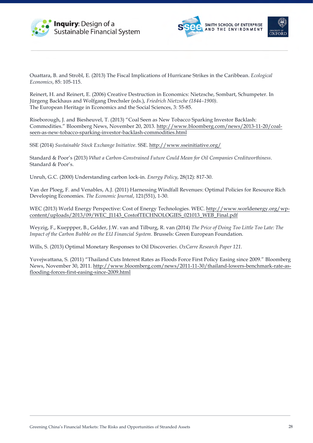





Ouattara, B. and Strobl, E. (2013) The Fiscal Implications of Hurricane Strikes in the Caribbean. *Ecological Economics*, 85: 105-115.

Reinert, H. and Reinert, E. (2006) Creative Destruction in Economics: Nietzsche, Sombart, Schumpeter. In Jürgeng Backhaus and Wolfgang Drechsler (eds.), *Friedrich Nietzsche (1844–1900)*. The European Heritage in Economics and the Social Sciences, 3: 55-85.

Riseborough, J. and Biesheuvel, T. (2013) "Coal Seen as New Tobacco Sparking Investor Backlash: Commodities." Bloomberg News, November 20, 2013. http://www.bloomberg.com/news/2013-11-20/coalseen-as-new-tobacco-sparking-investor-backlash-commodities.html

SSE (2014) *Sustainable Stock Exchange Initiative*. SSE. http://www.sseinitiative.org/

Standard & Poor's (2013) *What a Carbon-Constrained Future Could Mean for Oil Companies Creditworthiness*. Standard & Poor's.

Unruh, G.C. (2000) Understanding carbon lock-in. *Energy Policy*, 28(12): 817-30.

Van der Ploeg, F. and Venables, A.J. (2011) Harnessing Windfall Revenues: Optimal Policies for Resource Rich Developing Economies. *The Economic Journal*, 121(551), 1-30.

WEC (2013) World Energy Perspective: Cost of Energy Technologies. WEC. http://www.worldenergy.org/wpcontent/uploads/2013/09/WEC\_J1143\_CostofTECHNOLOGIES\_021013\_WEB\_Final.pdf

Weyzig, F., Kueppper, B., Gelder, J.W. van and Tilburg, R. van (2014) *The Price of Doing Too Little Too Late: The Impact of the Carbon Bubble on the EU Financial System*. Brussels: Green European Foundation.

Wills, S. (2013) Optimal Monetary Responses to Oil Discoverie*s*. *OxCarre Research Paper 121.*

Yuvejwattana, S. (2011) "Thailand Cuts Interest Rates as Floods Force First Policy Easing since 2009." Bloomberg News, November 30, 2011. http://www.bloomberg.com/news/2011-11-30/thailand-lowers-benchmark-rate-asflooding-forces-first-easing-since-2009.html